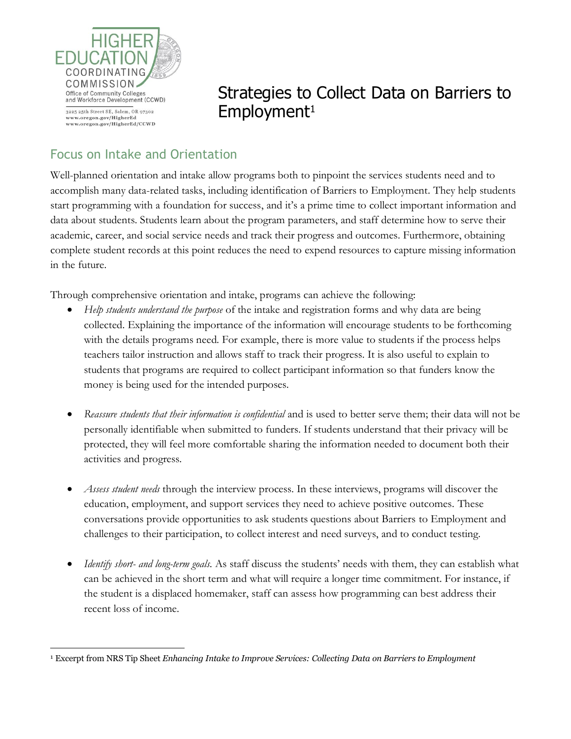

 $\overline{a}$ 

Strategies to Collect Data on Barriers to Employment<sup>1</sup>

## Focus on Intake and Orientation

Well-planned orientation and intake allow programs both to pinpoint the services students need and to accomplish many data-related tasks, including identification of Barriers to Employment. They help students start programming with a foundation for success, and it's a prime time to collect important information and data about students. Students learn about the program parameters, and staff determine how to serve their academic, career, and social service needs and track their progress and outcomes. Furthermore, obtaining complete student records at this point reduces the need to expend resources to capture missing information in the future.

Through comprehensive orientation and intake, programs can achieve the following:

- *Help students understand the purpose* of the intake and registration forms and why data are being collected. Explaining the importance of the information will encourage students to be forthcoming with the details programs need. For example, there is more value to students if the process helps teachers tailor instruction and allows staff to track their progress. It is also useful to explain to students that programs are required to collect participant information so that funders know the money is being used for the intended purposes.
- *Reassure students that their information is confidential* and is used to better serve them; their data will not be personally identifiable when submitted to funders. If students understand that their privacy will be protected, they will feel more comfortable sharing the information needed to document both their activities and progress.
- *Assess student needs* through the interview process. In these interviews, programs will discover the education, employment, and support services they need to achieve positive outcomes. These conversations provide opportunities to ask students questions about Barriers to Employment and challenges to their participation, to collect interest and need surveys, and to conduct testing.
- *Identify short- and long-term goals.* As staff discuss the students' needs with them, they can establish what can be achieved in the short term and what will require a longer time commitment. For instance, if the student is a displaced homemaker, staff can assess how programming can best address their recent loss of income.

<sup>1</sup> Excerpt from NRS Tip Sheet *Enhancing Intake to Improve Services: Collecting Data on Barriers to Employment*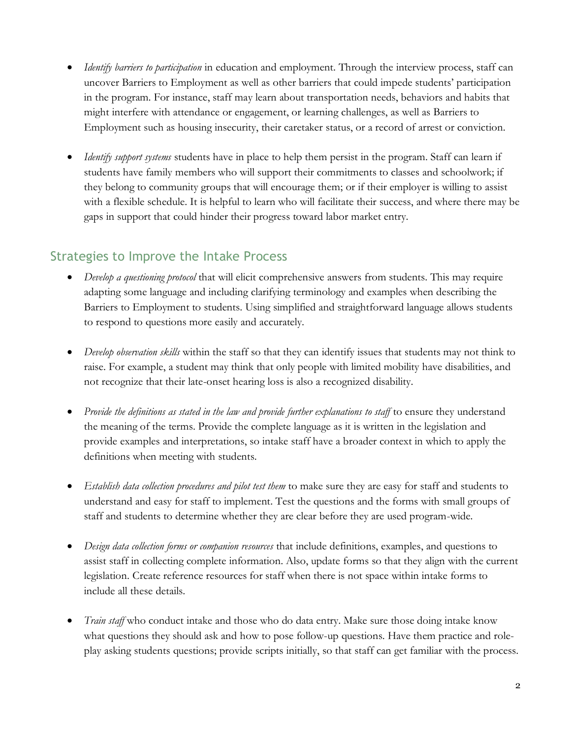- *Identify barriers to participation* in education and employment. Through the interview process, staff can uncover Barriers to Employment as well as other barriers that could impede students' participation in the program. For instance, staff may learn about transportation needs, behaviors and habits that might interfere with attendance or engagement, or learning challenges, as well as Barriers to Employment such as housing insecurity, their caretaker status, or a record of arrest or conviction.
- *Identify support systems* students have in place to help them persist in the program. Staff can learn if students have family members who will support their commitments to classes and schoolwork; if they belong to community groups that will encourage them; or if their employer is willing to assist with a flexible schedule. It is helpful to learn who will facilitate their success, and where there may be gaps in support that could hinder their progress toward labor market entry.

## Strategies to Improve the Intake Process

- *Develop a questioning protocol* that will elicit comprehensive answers from students. This may require adapting some language and including clarifying terminology and examples when describing the Barriers to Employment to students. Using simplified and straightforward language allows students to respond to questions more easily and accurately.
- *Develop observation skills* within the staff so that they can identify issues that students may not think to raise. For example, a student may think that only people with limited mobility have disabilities, and not recognize that their late-onset hearing loss is also a recognized disability.
- *Provide the definitions as stated in the law and provide further explanations to staff* to ensure they understand the meaning of the terms. Provide the complete language as it is written in the legislation and provide examples and interpretations, so intake staff have a broader context in which to apply the definitions when meeting with students.
- *Establish data collection procedures and pilot test them* to make sure they are easy for staff and students to understand and easy for staff to implement. Test the questions and the forms with small groups of staff and students to determine whether they are clear before they are used program-wide.
- *Design data collection forms or companion resources* that include definitions, examples, and questions to assist staff in collecting complete information. Also, update forms so that they align with the current legislation. Create reference resources for staff when there is not space within intake forms to include all these details.
- *Train staff* who conduct intake and those who do data entry. Make sure those doing intake know what questions they should ask and how to pose follow-up questions. Have them practice and roleplay asking students questions; provide scripts initially, so that staff can get familiar with the process.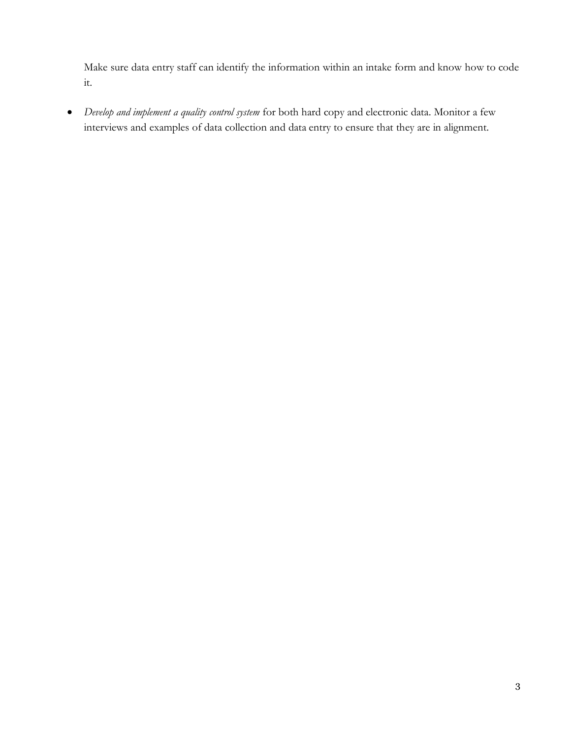Make sure data entry staff can identify the information within an intake form and know how to code it.

 *Develop and implement a quality control system* for both hard copy and electronic data. Monitor a few interviews and examples of data collection and data entry to ensure that they are in alignment.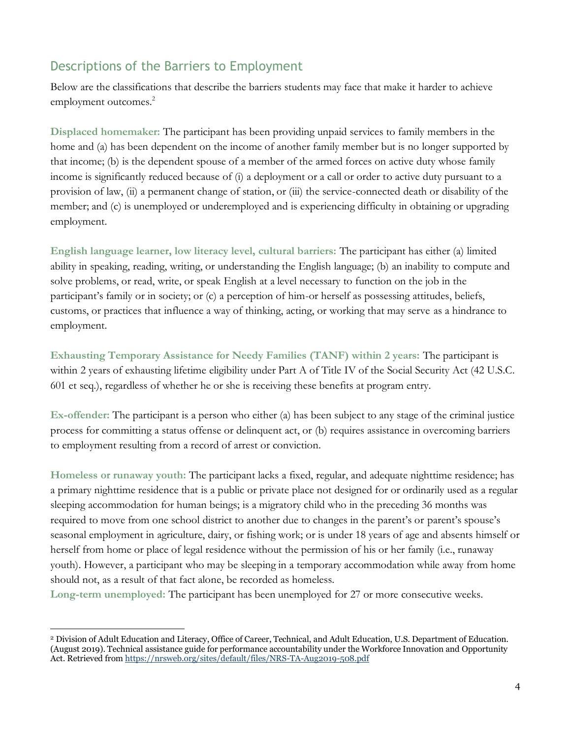## Descriptions of the Barriers to Employment

Below are the classifications that describe the barriers students may face that make it harder to achieve employment outcomes.<sup>2</sup>

**Displaced homemaker:** The participant has been providing unpaid services to family members in the home and (a) has been dependent on the income of another family member but is no longer supported by that income; (b) is the dependent spouse of a member of the armed forces on active duty whose family income is significantly reduced because of (i) a deployment or a call or order to active duty pursuant to a provision of law, (ii) a permanent change of station, or (iii) the service-connected death or disability of the member; and (c) is unemployed or underemployed and is experiencing difficulty in obtaining or upgrading employment.

**English language learner, low literacy level, cultural barriers:** The participant has either (a) limited ability in speaking, reading, writing, or understanding the English language; (b) an inability to compute and solve problems, or read, write, or speak English at a level necessary to function on the job in the participant's family or in society; or (c) a perception of him-or herself as possessing attitudes, beliefs, customs, or practices that influence a way of thinking, acting, or working that may serve as a hindrance to employment.

**Exhausting Temporary Assistance for Needy Families (TANF) within 2 years:** The participant is within 2 years of exhausting lifetime eligibility under Part A of Title IV of the Social Security Act (42 U.S.C. 601 et seq.), regardless of whether he or she is receiving these benefits at program entry.

**Ex-offender:** The participant is a person who either (a) has been subject to any stage of the criminal justice process for committing a status offense or delinquent act, or (b) requires assistance in overcoming barriers to employment resulting from a record of arrest or conviction.

**Homeless or runaway youth:** The participant lacks a fixed, regular, and adequate nighttime residence; has a primary nighttime residence that is a public or private place not designed for or ordinarily used as a regular sleeping accommodation for human beings; is a migratory child who in the preceding 36 months was required to move from one school district to another due to changes in the parent's or parent's spouse's seasonal employment in agriculture, dairy, or fishing work; or is under 18 years of age and absents himself or herself from home or place of legal residence without the permission of his or her family (i.e., runaway youth). However, a participant who may be sleeping in a temporary accommodation while away from home should not, as a result of that fact alone, be recorded as homeless.

**Long-term unemployed:** The participant has been unemployed for 27 or more consecutive weeks.

 $\overline{a}$ 

<sup>2</sup> Division of Adult Education and Literacy, Office of Career, Technical, and Adult Education, U.S. Department of Education. (August 2019). Technical assistance guide for performance accountability under the Workforce Innovation and Opportunity Act. Retrieved fro[m https://nrsweb.org/sites/default/files/NRS-TA-Aug2019-508.pdf](https://nrsweb.org/sites/default/files/NRS-TA-Aug2019-508.pdf)